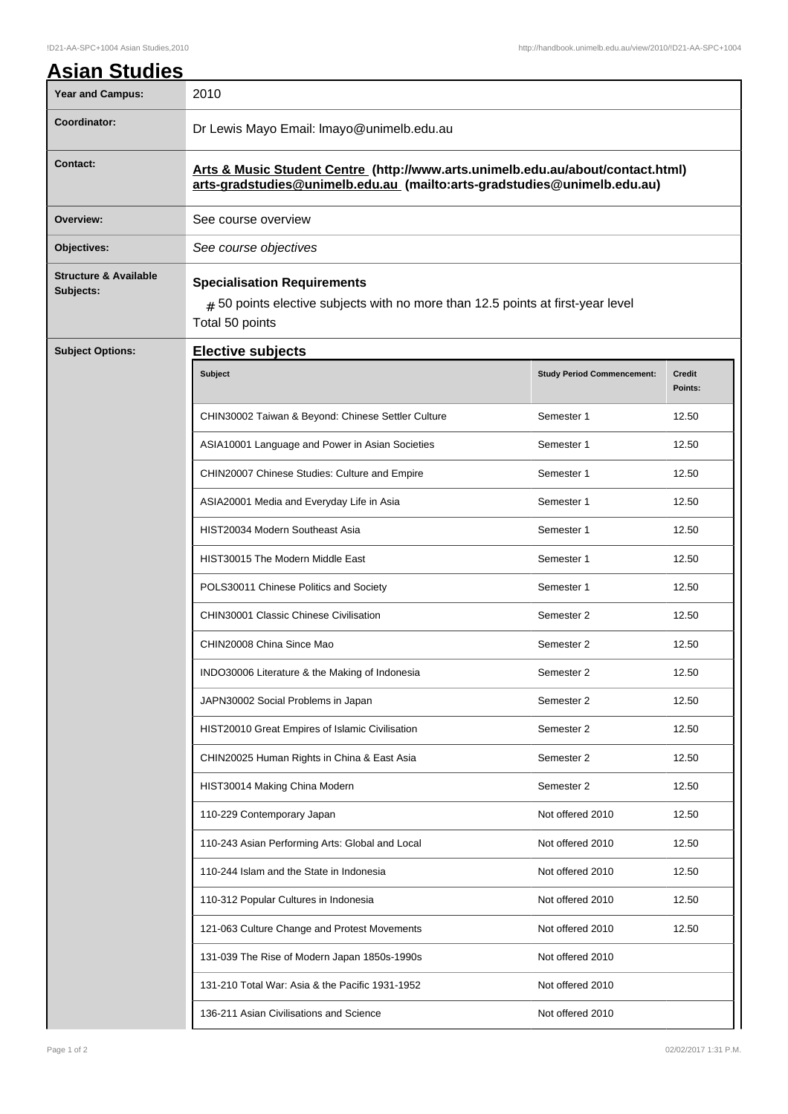| <b>Asian Studies</b><br><b>Year and Campus:</b> | 2010                                                                                                                                                        |                                   |                          |  |
|-------------------------------------------------|-------------------------------------------------------------------------------------------------------------------------------------------------------------|-----------------------------------|--------------------------|--|
| Coordinator:                                    | Dr Lewis Mayo Email: Imayo@unimelb.edu.au                                                                                                                   |                                   |                          |  |
| <b>Contact:</b>                                 | Arts & Music Student Centre (http://www.arts.unimelb.edu.au/about/contact.html)<br>arts-gradstudies@unimelb.edu.au (mailto:arts-gradstudies@unimelb.edu.au) |                                   |                          |  |
| Overview:                                       | See course overview                                                                                                                                         |                                   |                          |  |
| Objectives:                                     | See course objectives                                                                                                                                       |                                   |                          |  |
| <b>Structure &amp; Available</b><br>Subjects:   | <b>Specialisation Requirements</b><br>$#$ 50 points elective subjects with no more than 12.5 points at first-year level<br>Total 50 points                  |                                   |                          |  |
| <b>Subject Options:</b>                         | <b>Elective subjects</b>                                                                                                                                    |                                   |                          |  |
|                                                 | Subject                                                                                                                                                     | <b>Study Period Commencement:</b> | <b>Credit</b><br>Points: |  |
|                                                 | CHIN30002 Taiwan & Beyond: Chinese Settler Culture                                                                                                          | Semester 1                        | 12.50                    |  |
|                                                 | ASIA10001 Language and Power in Asian Societies                                                                                                             | Semester 1                        | 12.50                    |  |
|                                                 | CHIN20007 Chinese Studies: Culture and Empire                                                                                                               | Semester 1                        | 12.50                    |  |
|                                                 | ASIA20001 Media and Everyday Life in Asia                                                                                                                   | Semester 1                        | 12.50                    |  |
|                                                 | HIST20034 Modern Southeast Asia                                                                                                                             | Semester 1                        | 12.50                    |  |
|                                                 | HIST30015 The Modern Middle East                                                                                                                            | Semester 1                        | 12.50                    |  |
|                                                 | POLS30011 Chinese Politics and Society                                                                                                                      | Semester 1                        | 12.50                    |  |
|                                                 | CHIN30001 Classic Chinese Civilisation                                                                                                                      | Semester 2                        | 12.50                    |  |
|                                                 | CHIN20008 China Since Mao                                                                                                                                   | Semester 2                        | 12.50                    |  |
|                                                 | INDO30006 Literature & the Making of Indonesia                                                                                                              | Semester 2                        | 12.50                    |  |
|                                                 | JAPN30002 Social Problems in Japan                                                                                                                          | Semester 2                        | 12.50                    |  |
|                                                 | HIST20010 Great Empires of Islamic Civilisation                                                                                                             | Semester 2                        | 12.50                    |  |
|                                                 | CHIN20025 Human Rights in China & East Asia                                                                                                                 | Semester 2                        | 12.50                    |  |
|                                                 | HIST30014 Making China Modern                                                                                                                               | Semester 2                        | 12.50                    |  |
|                                                 | 110-229 Contemporary Japan                                                                                                                                  | Not offered 2010                  | 12.50                    |  |
|                                                 | 110-243 Asian Performing Arts: Global and Local                                                                                                             | Not offered 2010                  | 12.50                    |  |
|                                                 | 110-244 Islam and the State in Indonesia                                                                                                                    | Not offered 2010                  | 12.50                    |  |
|                                                 | 110-312 Popular Cultures in Indonesia                                                                                                                       | Not offered 2010                  | 12.50                    |  |
|                                                 | 121-063 Culture Change and Protest Movements                                                                                                                | Not offered 2010                  | 12.50                    |  |
|                                                 | 131-039 The Rise of Modern Japan 1850s-1990s                                                                                                                | Not offered 2010                  |                          |  |
|                                                 | 131-210 Total War: Asia & the Pacific 1931-1952                                                                                                             | Not offered 2010                  |                          |  |
|                                                 | 136-211 Asian Civilisations and Science                                                                                                                     | Not offered 2010                  |                          |  |